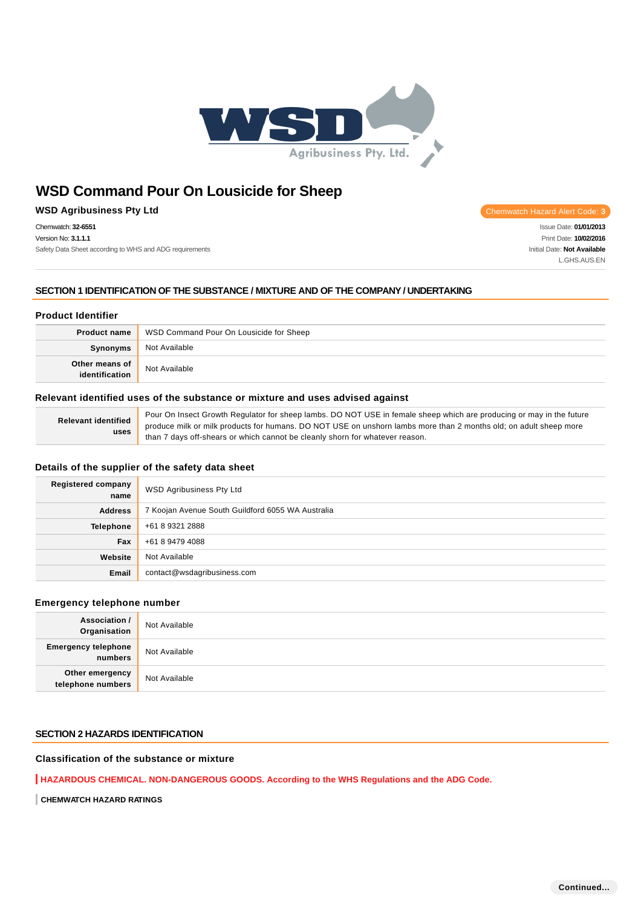

## **WSD Agribusiness Pty Ltd Chemwatch Hazard Alert Code: 3**

Chemwatch: **32-6551** Version No: **3.1.1.1** Safety Data Sheet according to WHS and ADG requirements

Issue Date: **01/01/2013** Print Date: **10/02/2016** Initial Date: **Not Available**

L.GHS.AUS.EN

**SECTION 1 IDENTIFICATION OF THE SUBSTANCE / MIXTURE AND OF THE COMPANY / UNDERTAKING**

### **Product Identifier**

| <b>Product name</b> | WSD Command Pour On Lousicide for Sheep |
|---------------------|-----------------------------------------|
| Synonyms            | Not Available                           |
| Other means of      | Not Available                           |

## **Relevant identified uses of the substance or mixture and uses advised against**

|                                    | Pour On Insect Growth Regulator for sheep lambs. DO NOT USE in female sheep which are producing or may in the future |
|------------------------------------|----------------------------------------------------------------------------------------------------------------------|
| <b>Relevant identified</b><br>uses | produce milk or milk products for humans. DO NOT USE on unshorn lambs more than 2 months old; on adult sheep more    |
|                                    | than 7 days off-shears or which cannot be cleanly shorn for whatever reason.                                         |

## **Details of the supplier of the safety data sheet**

| <b>Registered company</b><br>name | <b>WSD Agribusiness Pty Ltd</b>                   |
|-----------------------------------|---------------------------------------------------|
| <b>Address</b>                    | 7 Koojan Avenue South Guildford 6055 WA Australia |
| <b>Telephone</b>                  | +61 8 9321 2888                                   |
| Fax                               | +61 8 9479 4088                                   |
| Website                           | Not Available                                     |
| Email                             | contact@wsdagribusiness.com                       |

## **Emergency telephone number**

| <b>Association /</b><br>Organisation    | Not Available |
|-----------------------------------------|---------------|
| <b>Emergency telephone</b><br>  numbers | Not Available |
| Other emergency<br>telephone numbers    | Not Available |

## **SECTION 2 HAZARDS IDENTIFICATION**

### **Classification of the substance or mixture**

**HAZARDOUS CHEMICAL. NON-DANGEROUS GOODS. According to the WHS Regulations and the ADG Code.**

**CHEMWATCH HAZARD RATINGS**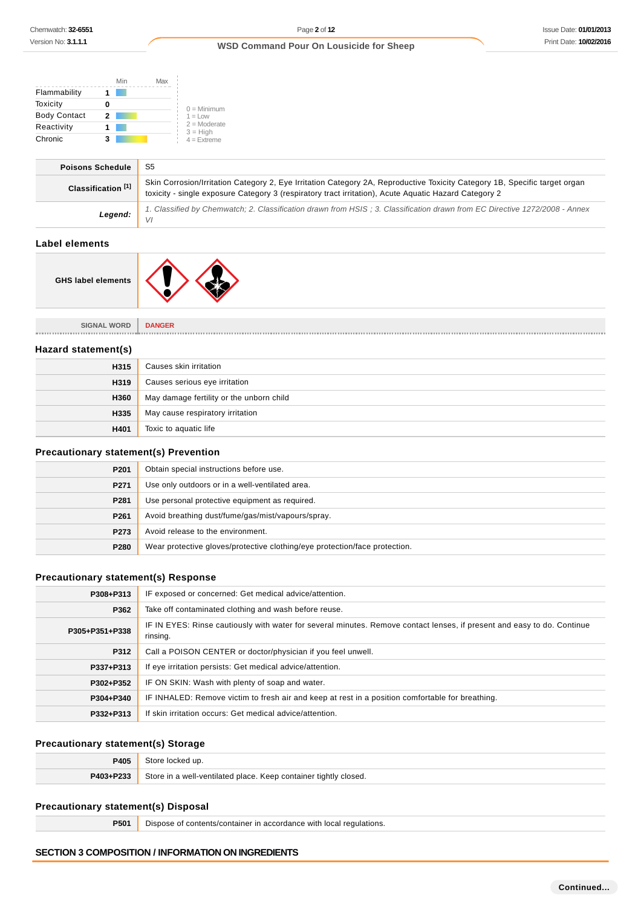$\overline{\phantom{a}}$ 

## **WSD Command Pour On Lousicide for Sheep**

|                     | Min | Max |                              |
|---------------------|-----|-----|------------------------------|
| Flammability        |     |     |                              |
| Toxicity            |     |     | $0 =$ Minimum                |
| <b>Body Contact</b> | 2   |     | $1 = 1$ OW                   |
| Reactivity          |     |     | $2 =$ Moderate<br>$3 = High$ |
| Chronic             |     |     | $4 =$ Extreme                |

| <b>Poisons Schedule</b>       | -S5                                                                                                                                                                                                                                 |
|-------------------------------|-------------------------------------------------------------------------------------------------------------------------------------------------------------------------------------------------------------------------------------|
| Classification <sup>[1]</sup> | Skin Corrosion/Irritation Category 2, Eye Irritation Category 2A, Reproductive Toxicity Category 1B, Specific target organ<br>toxicity - single exposure Category 3 (respiratory tract irritation), Acute Aquatic Hazard Category 2 |
| Legend:                       | 1. Classified by Chemwatch; 2. Classification drawn from HSIS; 3. Classification drawn from EC Directive 1272/2008 - Annex<br>VI                                                                                                    |

## **Label elements**

| <b>GHS label elements</b> |  |  |
|---------------------------|--|--|
|---------------------------|--|--|

**SIGNAL WORD DANGER**

### **Hazard statement(s)**

| H315 | Causes skin irritation                   |
|------|------------------------------------------|
| H319 | Causes serious eye irritation            |
| H360 | May damage fertility or the unborn child |
| H335 | May cause respiratory irritation         |
| H401 | Toxic to aquatic life                    |

## **Precautionary statement(s) Prevention**

| P <sub>201</sub> | Obtain special instructions before use.                                    |
|------------------|----------------------------------------------------------------------------|
| P271             | Use only outdoors or in a well-ventilated area.                            |
| P281             | Use personal protective equipment as required.                             |
| P <sub>261</sub> | Avoid breathing dust/fume/gas/mist/vapours/spray.                          |
| P273             | Avoid release to the environment.                                          |
| P280             | Wear protective gloves/protective clothing/eye protection/face protection. |

## **Precautionary statement(s) Response**

| P308+P313      | IF exposed or concerned: Get medical advice/attention.                                                                              |  |  |  |  |
|----------------|-------------------------------------------------------------------------------------------------------------------------------------|--|--|--|--|
| P362           | Take off contaminated clothing and wash before reuse.                                                                               |  |  |  |  |
| P305+P351+P338 | IF IN EYES: Rinse cautiously with water for several minutes. Remove contact lenses, if present and easy to do. Continue<br>rinsing. |  |  |  |  |
| P312           | Call a POISON CENTER or doctor/physician if you feel unwell.                                                                        |  |  |  |  |
| P337+P313      | If eye irritation persists: Get medical advice/attention.                                                                           |  |  |  |  |
| P302+P352      | IF ON SKIN: Wash with plenty of soap and water.                                                                                     |  |  |  |  |
| P304+P340      | IF INHALED: Remove victim to fresh air and keep at rest in a position comfortable for breathing.                                    |  |  |  |  |
| P332+P313      | If skin irritation occurs: Get medical advice/attention.                                                                            |  |  |  |  |

## **Precautionary statement(s) Storage**

| 9405      | Store locked up.                                                 |
|-----------|------------------------------------------------------------------|
| P403+P233 | Store in a well-ventilated place. Keep container tightly closed. |

## **Precautionary statement(s) Disposal**

**P501** Dispose of contents/container in accordance with local regulations.

## **SECTION 3 COMPOSITION / INFORMATION ON INGREDIENTS**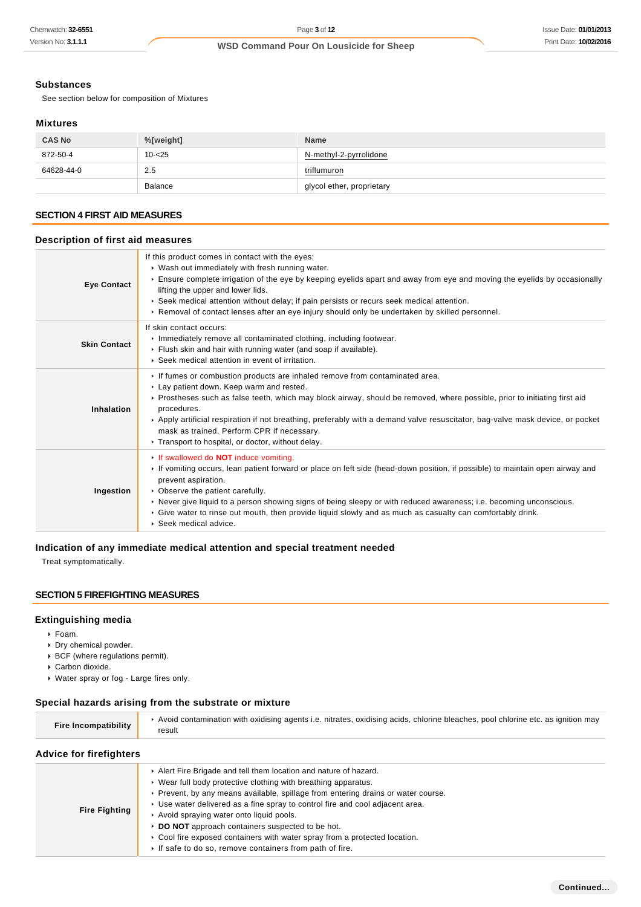### **Substances**

See section below for composition of Mixtures

### **Mixtures**

| <b>CAS No</b> | %[weight]      | <b>Name</b>               |  |
|---------------|----------------|---------------------------|--|
| 872-50-4      | $10 - 25$      | N-methyl-2-pyrrolidone    |  |
| 64628-44-0    | 2.5            | triflumuron               |  |
|               | <b>Balance</b> | glycol ether, proprietary |  |

### **SECTION 4 FIRST AID MEASURES**

## **Description of first aid measures**

| <b>Eye Contact</b>  | If this product comes in contact with the eyes:<br>▶ Wash out immediately with fresh running water.<br>Ensure complete irrigation of the eye by keeping eyelids apart and away from eye and moving the eyelids by occasionally<br>lifting the upper and lower lids.<br>► Seek medical attention without delay; if pain persists or recurs seek medical attention.<br>► Removal of contact lenses after an eye injury should only be undertaken by skilled personnel.                                   |  |
|---------------------|--------------------------------------------------------------------------------------------------------------------------------------------------------------------------------------------------------------------------------------------------------------------------------------------------------------------------------------------------------------------------------------------------------------------------------------------------------------------------------------------------------|--|
| <b>Skin Contact</b> | If skin contact occurs:<br>Inmediately remove all contaminated clothing, including footwear.<br>Flush skin and hair with running water (and soap if available).<br>▶ Seek medical attention in event of irritation.                                                                                                                                                                                                                                                                                    |  |
| Inhalation          | If fumes or combustion products are inhaled remove from contaminated area.<br>Lay patient down. Keep warm and rested.<br>▶ Prostheses such as false teeth, which may block airway, should be removed, where possible, prior to initiating first aid<br>procedures.<br>▶ Apply artificial respiration if not breathing, preferably with a demand valve resuscitator, bag-valve mask device, or pocket<br>mask as trained. Perform CPR if necessary.<br>Transport to hospital, or doctor, without delay. |  |
| Ingestion           | If swallowed do <b>NOT</b> induce vomiting.<br>If vomiting occurs, lean patient forward or place on left side (head-down position, if possible) to maintain open airway and<br>prevent aspiration.<br>• Observe the patient carefully.<br>▶ Never give liquid to a person showing signs of being sleepy or with reduced awareness; i.e. becoming unconscious.<br>► Give water to rinse out mouth, then provide liquid slowly and as much as casualty can comfortably drink.<br>▶ Seek medical advice.  |  |

## **Indication of any immediate medical attention and special treatment needed**

Treat symptomatically.

## **SECTION 5 FIREFIGHTING MEASURES**

### **Extinguishing media**

- Foam.
- Dry chemical powder.
- BCF (where regulations permit).
- Carbon dioxide.
- Water spray or fog Large fires only.

## **Special hazards arising from the substrate or mixture**

| Fire Incompatibility           | Avoid contamination with oxidising agents i.e. nitrates, oxidising acids, chlorine bleaches, pool chlorine etc. as ignition may<br>result |  |  |  |
|--------------------------------|-------------------------------------------------------------------------------------------------------------------------------------------|--|--|--|
| <b>Advice for firefighters</b> |                                                                                                                                           |  |  |  |
|                                | Alert Fire Brigade and tell them location and nature of hazard.<br>► Wear full body protective clothing with breathing apparatus.         |  |  |  |

|  | ▶ Prevent, by any means available, spillage from entering drains or water course. |
|--|-----------------------------------------------------------------------------------|
|--|-----------------------------------------------------------------------------------|

- Use water delivered as a fine spray to control fire and cool adjacent area.
- **Fire Fighting** Avoid spraying water onto liquid pools.
	- **DO NOT** approach containers suspected to be hot.
	- ▶ Cool fire exposed containers with water spray from a protected location.
		- $\blacktriangleright$  If safe to do so, remove containers from path of fire.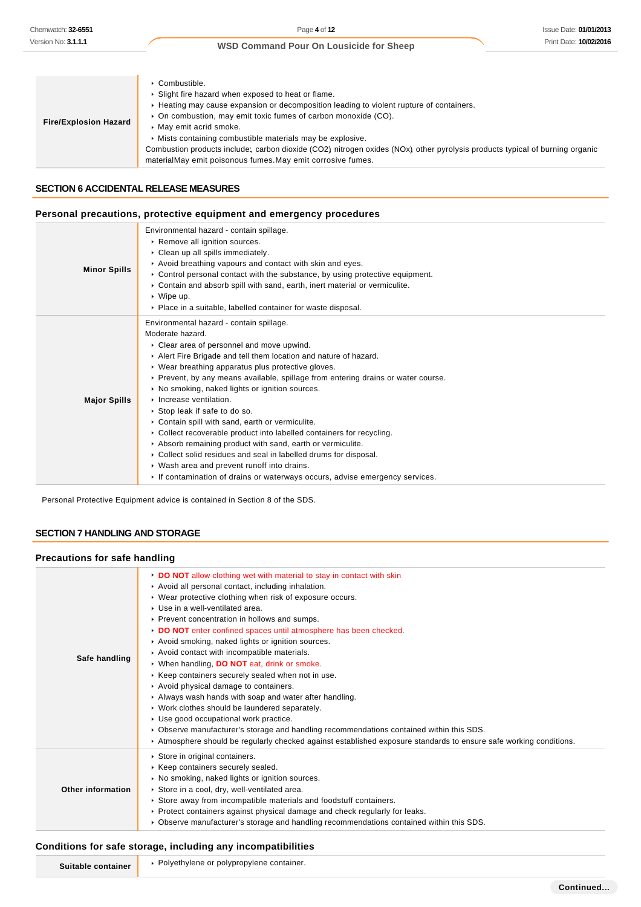| <b>Fire/Explosion Hazard</b> | $\cdot$ Combustible.<br>▶ Slight fire hazard when exposed to heat or flame.<br>► Heating may cause expansion or decomposition leading to violent rupture of containers.<br>• On combustion, may emit toxic fumes of carbon monoxide (CO).<br>May emit acrid smoke.<br>• Mists containing combustible materials may be explosive.<br>Combustion products include; carbon dioxide (CO2) nitrogen oxides (NOx) other pyrolysis products typical of burning organic<br>materialMay emit poisonous fumes. May emit corrosive fumes. |
|------------------------------|--------------------------------------------------------------------------------------------------------------------------------------------------------------------------------------------------------------------------------------------------------------------------------------------------------------------------------------------------------------------------------------------------------------------------------------------------------------------------------------------------------------------------------|
|------------------------------|--------------------------------------------------------------------------------------------------------------------------------------------------------------------------------------------------------------------------------------------------------------------------------------------------------------------------------------------------------------------------------------------------------------------------------------------------------------------------------------------------------------------------------|

## **SECTION 6 ACCIDENTAL RELEASE MEASURES**

### **Personal precautions, protective equipment and emergency procedures**

|                     | Environmental hazard - contain spillage.                                                     |
|---------------------|----------------------------------------------------------------------------------------------|
|                     | Remove all ignition sources.                                                                 |
|                     | Clean up all spills immediately.                                                             |
|                     | Avoid breathing vapours and contact with skin and eyes.                                      |
| <b>Minor Spills</b> | $\triangleright$ Control personal contact with the substance, by using protective equipment. |
|                     | ► Contain and absorb spill with sand, earth, inert material or vermiculite.                  |
|                     | $\cdot$ Wipe up.                                                                             |
|                     | • Place in a suitable, labelled container for waste disposal.                                |
|                     | Environmental hazard - contain spillage.                                                     |
|                     | Moderate hazard.                                                                             |
|                     | • Clear area of personnel and move upwind.                                                   |
|                     | Alert Fire Brigade and tell them location and nature of hazard.                              |
|                     | • Wear breathing apparatus plus protective gloves.                                           |
|                     | ▶ Prevent, by any means available, spillage from entering drains or water course.            |
|                     | ▶ No smoking, naked lights or ignition sources.                                              |
| <b>Major Spills</b> | Increase ventilation.                                                                        |
|                     | ▶ Stop leak if safe to do so.                                                                |
|                     | • Contain spill with sand, earth or vermiculite.                                             |
|                     | • Collect recoverable product into labelled containers for recycling.                        |
|                     | Absorb remaining product with sand, earth or vermiculite.                                    |
|                     | • Collect solid residues and seal in labelled drums for disposal.                            |
|                     | • Wash area and prevent runoff into drains.                                                  |
|                     | If contamination of drains or waterways occurs, advise emergency services.                   |

Personal Protective Equipment advice is contained in Section 8 of the SDS.

## **SECTION 7 HANDLING AND STORAGE**

## **Precautions for safe handling**

| Safe handling     | DO NOT allow clothing wet with material to stay in contact with skin<br>Avoid all personal contact, including inhalation.<br>▶ Wear protective clothing when risk of exposure occurs.<br>▶ Use in a well-ventilated area.<br>▶ Prevent concentration in hollows and sumps.<br>DO NOT enter confined spaces until atmosphere has been checked.<br>Avoid smoking, naked lights or ignition sources.<br>Avoid contact with incompatible materials.<br>▶ When handling, DO NOT eat, drink or smoke.<br>▶ Keep containers securely sealed when not in use.<br>Avoid physical damage to containers.<br>Always wash hands with soap and water after handling.<br>• Work clothes should be laundered separately.<br>Use good occupational work practice.<br>▶ Observe manufacturer's storage and handling recommendations contained within this SDS.<br>Atmosphere should be regularly checked against established exposure standards to ensure safe working conditions. |
|-------------------|------------------------------------------------------------------------------------------------------------------------------------------------------------------------------------------------------------------------------------------------------------------------------------------------------------------------------------------------------------------------------------------------------------------------------------------------------------------------------------------------------------------------------------------------------------------------------------------------------------------------------------------------------------------------------------------------------------------------------------------------------------------------------------------------------------------------------------------------------------------------------------------------------------------------------------------------------------------|
| Other information | Store in original containers.<br>▶ Keep containers securely sealed.<br>▶ No smoking, naked lights or ignition sources.<br>Store in a cool, dry, well-ventilated area.<br>Store away from incompatible materials and foodstuff containers.<br>▶ Protect containers against physical damage and check regularly for leaks.<br>► Observe manufacturer's storage and handling recommendations contained within this SDS.                                                                                                                                                                                                                                                                                                                                                                                                                                                                                                                                             |

## **Conditions for safe storage, including any incompatibilities**

| Suit.<br>. aine- | or polvpropylene container.<br>ື້<br>vethvleni<br>v<br>the contract of the contract of the contract of the contract of the contract of the contract of the contract of<br>the contract of the contract of |
|------------------|-----------------------------------------------------------------------------------------------------------------------------------------------------------------------------------------------------------|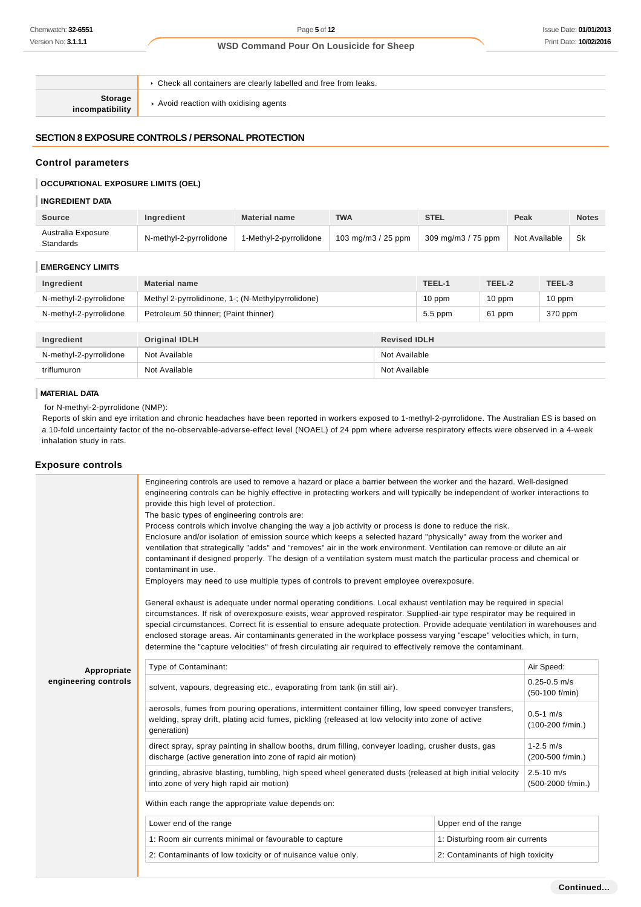**Storage incompatibility**

Avoid reaction with oxidising agents

Check all containers are clearly labelled and free from leaks.

## **SECTION 8 EXPOSURE CONTROLS / PERSONAL PROTECTION**

### **Control parameters**

### **OCCUPATIONAL EXPOSURE LIMITS (OEL)**

### **INGREDIENT DATA**

| <b>Source</b>                   | Ingredient             | <b>Material name</b>   | <b>TWA</b>          | <b>STEL</b>        | Peak          | <b>Notes</b> |
|---------------------------------|------------------------|------------------------|---------------------|--------------------|---------------|--------------|
| Australia Exposure<br>Standards | N-methyl-2-pyrrolidone | 1-Methyl-2-pyrrolidone | 103 mg/m $3/25$ ppm | 309 mg/m3 / 75 ppm | Not Available | Sk           |

#### **EMERGENCY LIMITS**

| Ingredient             | <b>Material name</b>                              |                     | TEEL-1    | TEEL-2 | TEEL-3   |
|------------------------|---------------------------------------------------|---------------------|-----------|--------|----------|
| N-methyl-2-pyrrolidone | Methyl 2-pyrrolidinone, 1-; (N-Methylpyrrolidone) |                     | $10$ ppm  | 10 ppm | $10$ ppm |
| N-methyl-2-pyrrolidone | Petroleum 50 thinner; (Paint thinner)             |                     | $5.5$ ppm | 61 ppm | 370 ppm  |
|                        |                                                   |                     |           |        |          |
| Ingredient             | <b>Original IDLH</b>                              | <b>Revised IDLH</b> |           |        |          |
| N-methyl-2-pyrrolidone | Not Available                                     | Not Available       |           |        |          |
| triflumuron            | Not Available<br>Not Available                    |                     |           |        |          |

### **MATERIAL DATA**

for N-methyl-2-pyrrolidone (NMP):

Reports of skin and eye irritation and chronic headaches have been reported in workers exposed to 1-methyl-2-pyrrolidone. The Australian ES is based on a 10-fold uncertainty factor of the no-observable-adverse-effect level (NOAEL) of 24 ppm where adverse respiratory effects were observed in a 4-week inhalation study in rats.

### **Exposure controls**

|                      | Engineering controls are used to remove a hazard or place a barrier between the worker and the hazard. Well-designed<br>engineering controls can be highly effective in protecting workers and will typically be independent of worker interactions to<br>provide this high level of protection.<br>The basic types of engineering controls are:<br>Process controls which involve changing the way a job activity or process is done to reduce the risk.<br>Enclosure and/or isolation of emission source which keeps a selected hazard "physically" away from the worker and<br>ventilation that strategically "adds" and "removes" air in the work environment. Ventilation can remove or dilute an air<br>contaminant if designed properly. The design of a ventilation system must match the particular process and chemical or<br>contaminant in use.<br>Employers may need to use multiple types of controls to prevent employee overexposure.<br>General exhaust is adequate under normal operating conditions. Local exhaust ventilation may be required in special<br>circumstances. If risk of overexposure exists, wear approved respirator. Supplied-air type respirator may be required in<br>special circumstances. Correct fit is essential to ensure adequate protection. Provide adequate ventilation in warehouses and<br>enclosed storage areas. Air contaminants generated in the workplace possess varying "escape" velocities which, in turn,<br>determine the "capture velocities" of fresh circulating air required to effectively remove the contaminant. |                                       |  |  |  |
|----------------------|-------------------------------------------------------------------------------------------------------------------------------------------------------------------------------------------------------------------------------------------------------------------------------------------------------------------------------------------------------------------------------------------------------------------------------------------------------------------------------------------------------------------------------------------------------------------------------------------------------------------------------------------------------------------------------------------------------------------------------------------------------------------------------------------------------------------------------------------------------------------------------------------------------------------------------------------------------------------------------------------------------------------------------------------------------------------------------------------------------------------------------------------------------------------------------------------------------------------------------------------------------------------------------------------------------------------------------------------------------------------------------------------------------------------------------------------------------------------------------------------------------------------------------------------------------------------------------------|---------------------------------------|--|--|--|
| Appropriate          | Type of Contaminant:                                                                                                                                                                                                                                                                                                                                                                                                                                                                                                                                                                                                                                                                                                                                                                                                                                                                                                                                                                                                                                                                                                                                                                                                                                                                                                                                                                                                                                                                                                                                                                | Air Speed:                            |  |  |  |
| engineering controls | solvent, vapours, degreasing etc., evaporating from tank (in still air).                                                                                                                                                                                                                                                                                                                                                                                                                                                                                                                                                                                                                                                                                                                                                                                                                                                                                                                                                                                                                                                                                                                                                                                                                                                                                                                                                                                                                                                                                                            | $0.25 - 0.5$ m/s<br>$(50-100)$ f/min) |  |  |  |
|                      | aerosols, fumes from pouring operations, intermittent container filling, low speed conveyer transfers,<br>welding, spray drift, plating acid fumes, pickling (released at low velocity into zone of active<br>generation)                                                                                                                                                                                                                                                                                                                                                                                                                                                                                                                                                                                                                                                                                                                                                                                                                                                                                                                                                                                                                                                                                                                                                                                                                                                                                                                                                           | $0.5 - 1$ m/s<br>(100-200 f/min.)     |  |  |  |
|                      | direct spray, spray painting in shallow booths, drum filling, conveyer loading, crusher dusts, gas<br>discharge (active generation into zone of rapid air motion)                                                                                                                                                                                                                                                                                                                                                                                                                                                                                                                                                                                                                                                                                                                                                                                                                                                                                                                                                                                                                                                                                                                                                                                                                                                                                                                                                                                                                   | $1 - 2.5$ m/s<br>(200-500 f/min.)     |  |  |  |
|                      | grinding, abrasive blasting, tumbling, high speed wheel generated dusts (released at high initial velocity<br>into zone of very high rapid air motion)                                                                                                                                                                                                                                                                                                                                                                                                                                                                                                                                                                                                                                                                                                                                                                                                                                                                                                                                                                                                                                                                                                                                                                                                                                                                                                                                                                                                                              | $2.5 - 10$ m/s<br>(500-2000 f/min.)   |  |  |  |
|                      | Within each range the appropriate value depends on:                                                                                                                                                                                                                                                                                                                                                                                                                                                                                                                                                                                                                                                                                                                                                                                                                                                                                                                                                                                                                                                                                                                                                                                                                                                                                                                                                                                                                                                                                                                                 |                                       |  |  |  |
|                      | Lower end of the range                                                                                                                                                                                                                                                                                                                                                                                                                                                                                                                                                                                                                                                                                                                                                                                                                                                                                                                                                                                                                                                                                                                                                                                                                                                                                                                                                                                                                                                                                                                                                              | Upper end of the range                |  |  |  |
|                      | 1: Room air currents minimal or favourable to capture                                                                                                                                                                                                                                                                                                                                                                                                                                                                                                                                                                                                                                                                                                                                                                                                                                                                                                                                                                                                                                                                                                                                                                                                                                                                                                                                                                                                                                                                                                                               | 1: Disturbing room air currents       |  |  |  |
|                      | 2: Contaminants of low toxicity or of nuisance value only.                                                                                                                                                                                                                                                                                                                                                                                                                                                                                                                                                                                                                                                                                                                                                                                                                                                                                                                                                                                                                                                                                                                                                                                                                                                                                                                                                                                                                                                                                                                          | 2: Contaminants of high toxicity      |  |  |  |
|                      |                                                                                                                                                                                                                                                                                                                                                                                                                                                                                                                                                                                                                                                                                                                                                                                                                                                                                                                                                                                                                                                                                                                                                                                                                                                                                                                                                                                                                                                                                                                                                                                     |                                       |  |  |  |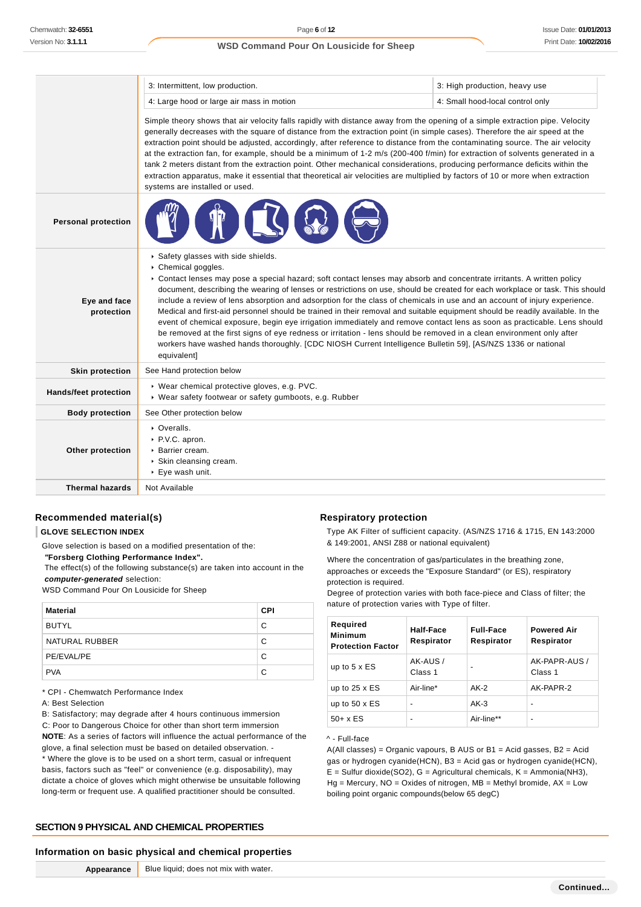|                              | 3: Intermittent, low production.                                                                                                                                                                                                                                                                                                                                                                                                                                                                                                                                                                                                                                                                                                                                                                                                                                                                                                                                   | 3: High production, heavy use |  |  |
|------------------------------|--------------------------------------------------------------------------------------------------------------------------------------------------------------------------------------------------------------------------------------------------------------------------------------------------------------------------------------------------------------------------------------------------------------------------------------------------------------------------------------------------------------------------------------------------------------------------------------------------------------------------------------------------------------------------------------------------------------------------------------------------------------------------------------------------------------------------------------------------------------------------------------------------------------------------------------------------------------------|-------------------------------|--|--|
|                              | 4: Large hood or large air mass in motion<br>4: Small hood-local control only                                                                                                                                                                                                                                                                                                                                                                                                                                                                                                                                                                                                                                                                                                                                                                                                                                                                                      |                               |  |  |
|                              | Simple theory shows that air velocity falls rapidly with distance away from the opening of a simple extraction pipe. Velocity<br>generally decreases with the square of distance from the extraction point (in simple cases). Therefore the air speed at the<br>extraction point should be adjusted, accordingly, after reference to distance from the contaminating source. The air velocity<br>at the extraction fan, for example, should be a minimum of 1-2 m/s (200-400 f/min) for extraction of solvents generated in a<br>tank 2 meters distant from the extraction point. Other mechanical considerations, producing performance deficits within the<br>extraction apparatus, make it essential that theoretical air velocities are multiplied by factors of 10 or more when extraction<br>systems are installed or used.                                                                                                                                  |                               |  |  |
| <b>Personal protection</b>   |                                                                                                                                                                                                                                                                                                                                                                                                                                                                                                                                                                                                                                                                                                                                                                                                                                                                                                                                                                    |                               |  |  |
| Eye and face<br>protection   | Safety glasses with side shields.<br>Chemical goggles.<br>▶ Contact lenses may pose a special hazard; soft contact lenses may absorb and concentrate irritants. A written policy<br>document, describing the wearing of lenses or restrictions on use, should be created for each workplace or task. This should<br>include a review of lens absorption and adsorption for the class of chemicals in use and an account of injury experience.<br>Medical and first-aid personnel should be trained in their removal and suitable equipment should be readily available. In the<br>event of chemical exposure, begin eye irrigation immediately and remove contact lens as soon as practicable. Lens should<br>be removed at the first signs of eye redness or irritation - lens should be removed in a clean environment only after<br>workers have washed hands thoroughly. [CDC NIOSH Current Intelligence Bulletin 59], [AS/NZS 1336 or national<br>equivalent] |                               |  |  |
| <b>Skin protection</b>       | See Hand protection below                                                                                                                                                                                                                                                                                                                                                                                                                                                                                                                                                                                                                                                                                                                                                                                                                                                                                                                                          |                               |  |  |
| <b>Hands/feet protection</b> | · Wear chemical protective gloves, e.g. PVC.<br>▶ Wear safety footwear or safety gumboots, e.g. Rubber                                                                                                                                                                                                                                                                                                                                                                                                                                                                                                                                                                                                                                                                                                                                                                                                                                                             |                               |  |  |
| <b>Body protection</b>       | See Other protection below                                                                                                                                                                                                                                                                                                                                                                                                                                                                                                                                                                                                                                                                                                                                                                                                                                                                                                                                         |                               |  |  |
| Other protection             | • Overalls.<br>▶ P.V.C. apron.<br>▶ Barrier cream.<br>Skin cleansing cream.<br>▶ Eye wash unit.                                                                                                                                                                                                                                                                                                                                                                                                                                                                                                                                                                                                                                                                                                                                                                                                                                                                    |                               |  |  |
| <b>Thermal hazards</b>       | Not Available                                                                                                                                                                                                                                                                                                                                                                                                                                                                                                                                                                                                                                                                                                                                                                                                                                                                                                                                                      |                               |  |  |

## **Recommended material(s)**

#### **GLOVE SELECTION INDEX**

Glove selection is based on a modified presentation of the:  **"Forsberg Clothing Performance Index".**

 The effect(s) of the following substance(s) are taken into account in the **computer-generated** selection:

WSD Command Pour On Lousicide for Sheep

| <b>Material</b> | <b>CPI</b> |
|-----------------|------------|
| <b>BUTYL</b>    | C          |
| NATURAL RUBBER  | C          |
| PE/EVAL/PE      | C          |
| <b>PVA</b>      | C          |

\* CPI - Chemwatch Performance Index

B: Satisfactory; may degrade after 4 hours continuous immersion C: Poor to Dangerous Choice for other than short term immersion

**NOTE**: As a series of factors will influence the actual performance of the glove, a final selection must be based on detailed observation. - \* Where the glove is to be used on a short term, casual or infrequent basis, factors such as "feel" or convenience (e.g. disposability), may dictate a choice of gloves which might otherwise be unsuitable following long-term or frequent use. A qualified practitioner should be consulted.

## **SECTION 9 PHYSICAL AND CHEMICAL PROPERTIES**

### **Information on basic physical and chemical properties**

**Appearance** Blue liquid; does not mix with water.

### **Respiratory protection**

Type AK Filter of sufficient capacity. (AS/NZS 1716 & 1715, EN 143:2000 & 149:2001, ANSI Z88 or national equivalent)

Where the concentration of gas/particulates in the breathing zone, approaches or exceeds the "Exposure Standard" (or ES), respiratory protection is required.

Degree of protection varies with both face-piece and Class of filter; the nature of protection varies with Type of filter.

| Required<br><b>Minimum</b><br><b>Protection Factor</b> | Half-Face<br>Respirator  | <b>Full-Face</b><br>Respirator | <b>Powered Air</b><br>Respirator |
|--------------------------------------------------------|--------------------------|--------------------------------|----------------------------------|
| up to $5 \times ES$                                    | AK-AUS /<br>Class 1      | -                              | AK-PAPR-AUS /<br>Class 1         |
| up to $25 \times ES$                                   | Air-line*                | AK-2                           | AK-PAPR-2                        |
| up to $50 \times ES$                                   | $\overline{\phantom{0}}$ | $AK-3$                         | $\overline{\phantom{a}}$         |
| $50+ x ES$                                             | ۰                        | Air-line**                     | $\blacksquare$                   |

### ^ - Full-face

A(All classes) = Organic vapours, B AUS or  $B1$  = Acid gasses,  $B2$  = Acid gas or hydrogen cyanide(HCN), B3 = Acid gas or hydrogen cyanide(HCN),  $E =$  Sulfur dioxide(SO2), G = Agricultural chemicals, K = Ammonia(NH3),  $Hg =$  Mercury, NO = Oxides of nitrogen, MB = Methyl bromide, AX = Low boiling point organic compounds(below 65 degC)

A: Best Selection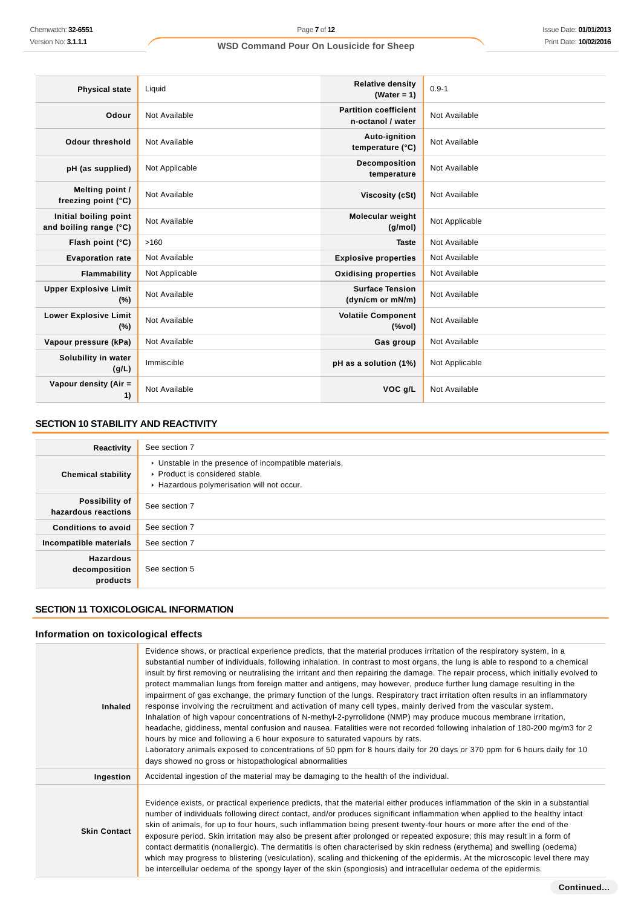| <b>Physical state</b>                           | Liquid         | <b>Relative density</b><br>(Water = $1$ )         | $0.9 - 1$      |
|-------------------------------------------------|----------------|---------------------------------------------------|----------------|
| Odour                                           | Not Available  | <b>Partition coefficient</b><br>n-octanol / water | Not Available  |
| <b>Odour threshold</b>                          | Not Available  | Auto-ignition<br>temperature (°C)                 | Not Available  |
| pH (as supplied)                                | Not Applicable | Decomposition<br>temperature                      | Not Available  |
| Melting point /<br>freezing point (°C)          | Not Available  | Viscosity (cSt)                                   | Not Available  |
| Initial boiling point<br>and boiling range (°C) | Not Available  | Molecular weight<br>(g/mol)                       | Not Applicable |
| Flash point (°C)                                | >160           | <b>Taste</b>                                      | Not Available  |
| <b>Evaporation rate</b>                         | Not Available  | <b>Explosive properties</b>                       | Not Available  |
| Flammability                                    | Not Applicable | <b>Oxidising properties</b>                       | Not Available  |
| <b>Upper Explosive Limit</b><br>(%)             | Not Available  | <b>Surface Tension</b><br>(dyn/cm or mN/m)        | Not Available  |
| <b>Lower Explosive Limit</b><br>(%)             | Not Available  | <b>Volatile Component</b><br>(%                   | Not Available  |
| Vapour pressure (kPa)                           | Not Available  | Gas group                                         | Not Available  |
| Solubility in water<br>(g/L)                    | Immiscible     | pH as a solution (1%)                             | Not Applicable |
| Vapour density (Air =<br>1)                     | Not Available  | VOC g/L                                           | Not Available  |

## **SECTION 10 STABILITY AND REACTIVITY**

| Reactivity                                    | See section 7                                                                                                                        |
|-----------------------------------------------|--------------------------------------------------------------------------------------------------------------------------------------|
| <b>Chemical stability</b>                     | • Unstable in the presence of incompatible materials.<br>▶ Product is considered stable.<br>Hazardous polymerisation will not occur. |
| Possibility of<br>hazardous reactions         | See section 7                                                                                                                        |
| <b>Conditions to avoid</b>                    | See section 7                                                                                                                        |
| Incompatible materials                        | See section 7                                                                                                                        |
| <b>Hazardous</b><br>decomposition<br>products | See section 5                                                                                                                        |

## **SECTION 11 TOXICOLOGICAL INFORMATION**

## **Information on toxicological effects**

| <b>Inhaled</b>      | Evidence shows, or practical experience predicts, that the material produces irritation of the respiratory system, in a<br>substantial number of individuals, following inhalation. In contrast to most organs, the lung is able to respond to a chemical<br>insult by first removing or neutralising the irritant and then repairing the damage. The repair process, which initially evolved to<br>protect mammalian lungs from foreign matter and antigens, may however, produce further lung damage resulting in the<br>impairment of gas exchange, the primary function of the lungs. Respiratory tract irritation often results in an inflammatory<br>response involving the recruitment and activation of many cell types, mainly derived from the vascular system.<br>Inhalation of high vapour concentrations of N-methyl-2-pyrrolidone (NMP) may produce mucous membrane irritation,<br>headache, giddiness, mental confusion and nausea. Fatalities were not recorded following inhalation of 180-200 mg/m3 for 2<br>hours by mice and following a 6 hour exposure to saturated vapours by rats.<br>Laboratory animals exposed to concentrations of 50 ppm for 8 hours daily for 20 days or 370 ppm for 6 hours daily for 10<br>days showed no gross or histopathological abnormalities |
|---------------------|---------------------------------------------------------------------------------------------------------------------------------------------------------------------------------------------------------------------------------------------------------------------------------------------------------------------------------------------------------------------------------------------------------------------------------------------------------------------------------------------------------------------------------------------------------------------------------------------------------------------------------------------------------------------------------------------------------------------------------------------------------------------------------------------------------------------------------------------------------------------------------------------------------------------------------------------------------------------------------------------------------------------------------------------------------------------------------------------------------------------------------------------------------------------------------------------------------------------------------------------------------------------------------------------------|
| Ingestion           | Accidental ingestion of the material may be damaging to the health of the individual.                                                                                                                                                                                                                                                                                                                                                                                                                                                                                                                                                                                                                                                                                                                                                                                                                                                                                                                                                                                                                                                                                                                                                                                                             |
| <b>Skin Contact</b> | Evidence exists, or practical experience predicts, that the material either produces inflammation of the skin in a substantial<br>number of individuals following direct contact, and/or produces significant inflammation when applied to the healthy intact<br>skin of animals, for up to four hours, such inflammation being present twenty-four hours or more after the end of the<br>exposure period. Skin irritation may also be present after prolonged or repeated exposure; this may result in a form of<br>contact dermatitis (nonallergic). The dermatitis is often characterised by skin redness (erythema) and swelling (oedema)<br>which may progress to blistering (vesiculation), scaling and thickening of the epidermis. At the microscopic level there may<br>be intercellular oedema of the spongy layer of the skin (spongiosis) and intracellular oedema of the epidermis.                                                                                                                                                                                                                                                                                                                                                                                                  |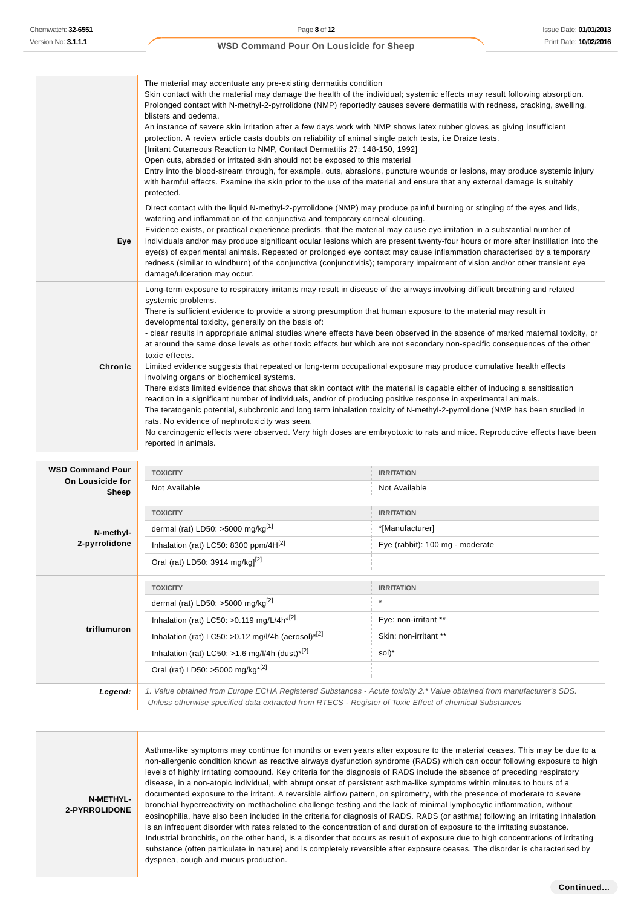|                                             | The material may accentuate any pre-existing dermatitis condition<br>Skin contact with the material may damage the health of the individual; systemic effects may result following absorption.<br>Prolonged contact with N-methyl-2-pyrrolidone (NMP) reportedly causes severe dermatitis with redness, cracking, swelling,<br>blisters and oedema.<br>An instance of severe skin irritation after a few days work with NMP shows latex rubber gloves as giving insufficient<br>protection. A review article casts doubts on reliability of animal single patch tests, i.e Draize tests.<br>[Irritant Cutaneous Reaction to NMP, Contact Dermatitis 27: 148-150, 1992]<br>Open cuts, abraded or irritated skin should not be exposed to this material<br>Entry into the blood-stream through, for example, cuts, abrasions, puncture wounds or lesions, may produce systemic injury<br>with harmful effects. Examine the skin prior to the use of the material and ensure that any external damage is suitably<br>protected.                                                                                                                                                                                                                                                                                                                               |                                    |  |
|---------------------------------------------|------------------------------------------------------------------------------------------------------------------------------------------------------------------------------------------------------------------------------------------------------------------------------------------------------------------------------------------------------------------------------------------------------------------------------------------------------------------------------------------------------------------------------------------------------------------------------------------------------------------------------------------------------------------------------------------------------------------------------------------------------------------------------------------------------------------------------------------------------------------------------------------------------------------------------------------------------------------------------------------------------------------------------------------------------------------------------------------------------------------------------------------------------------------------------------------------------------------------------------------------------------------------------------------------------------------------------------------------------------|------------------------------------|--|
| Eye                                         | Direct contact with the liquid N-methyl-2-pyrrolidone (NMP) may produce painful burning or stinging of the eyes and lids,<br>watering and inflammation of the conjunctiva and temporary corneal clouding.<br>Evidence exists, or practical experience predicts, that the material may cause eye irritation in a substantial number of<br>individuals and/or may produce significant ocular lesions which are present twenty-four hours or more after instillation into the<br>eye(s) of experimental animals. Repeated or prolonged eye contact may cause inflammation characterised by a temporary<br>redness (similar to windburn) of the conjunctiva (conjunctivitis); temporary impairment of vision and/or other transient eye<br>damage/ulceration may occur.                                                                                                                                                                                                                                                                                                                                                                                                                                                                                                                                                                                        |                                    |  |
| <b>Chronic</b>                              | Long-term exposure to respiratory irritants may result in disease of the airways involving difficult breathing and related<br>systemic problems.<br>There is sufficient evidence to provide a strong presumption that human exposure to the material may result in<br>developmental toxicity, generally on the basis of:<br>- clear results in appropriate animal studies where effects have been observed in the absence of marked maternal toxicity, or<br>at around the same dose levels as other toxic effects but which are not secondary non-specific consequences of the other<br>toxic effects.<br>Limited evidence suggests that repeated or long-term occupational exposure may produce cumulative health effects<br>involving organs or biochemical systems.<br>There exists limited evidence that shows that skin contact with the material is capable either of inducing a sensitisation<br>reaction in a significant number of individuals, and/or of producing positive response in experimental animals.<br>The teratogenic potential, subchronic and long term inhalation toxicity of N-methyl-2-pyrrolidone (NMP has been studied in<br>rats. No evidence of nephrotoxicity was seen.<br>No carcinogenic effects were observed. Very high doses are embryotoxic to rats and mice. Reproductive effects have been<br>reported in animals. |                                    |  |
| <b>WSD Command Pour</b><br>On Lousicide for | <b>TOXICITY</b><br>Not Available                                                                                                                                                                                                                                                                                                                                                                                                                                                                                                                                                                                                                                                                                                                                                                                                                                                                                                                                                                                                                                                                                                                                                                                                                                                                                                                           | <b>IRRITATION</b><br>Not Available |  |
| Sheep                                       |                                                                                                                                                                                                                                                                                                                                                                                                                                                                                                                                                                                                                                                                                                                                                                                                                                                                                                                                                                                                                                                                                                                                                                                                                                                                                                                                                            |                                    |  |
|                                             | <b>TOXICITY</b>                                                                                                                                                                                                                                                                                                                                                                                                                                                                                                                                                                                                                                                                                                                                                                                                                                                                                                                                                                                                                                                                                                                                                                                                                                                                                                                                            | <b>IRRITATION</b>                  |  |
| N-methyl-                                   | dermal (rat) LD50: >5000 mg/kg[1]                                                                                                                                                                                                                                                                                                                                                                                                                                                                                                                                                                                                                                                                                                                                                                                                                                                                                                                                                                                                                                                                                                                                                                                                                                                                                                                          | *[Manufacturer]                    |  |
| $2$ marginalized                            | $\lambda$ and $\lambda$ and $\lambda$ and $\lambda$ and $\lambda$                                                                                                                                                                                                                                                                                                                                                                                                                                                                                                                                                                                                                                                                                                                                                                                                                                                                                                                                                                                                                                                                                                                                                                                                                                                                                          |                                    |  |

| 2-pyrrolidone | Inhalation (rat) LC50: 8300 ppm/4H <sup>[2]</sup>                                                                     | Eye (rabbit): 100 mg - moderate |
|---------------|-----------------------------------------------------------------------------------------------------------------------|---------------------------------|
|               | Oral (rat) LD50: 3914 mg/kg] <sup>[2]</sup>                                                                           |                                 |
|               | <b>TOXICITY</b>                                                                                                       | <b>IRRITATION</b>               |
| triflumuron   | dermal (rat) LD50: >5000 mg/kg <sup>[2]</sup>                                                                         |                                 |
|               | Inhalation (rat) LC50: > 0.119 mg/L/4h <sup>*[2]</sup>                                                                | Eye: non-irritant **            |
|               | Inhalation (rat) LC50: >0.12 mg/l/4h (aerosol) <sup>*[2]</sup>                                                        | Skin: non-irritant **           |
|               | Inhalation (rat) LC50: >1.6 mg/l/4h (dust) <sup>*[2]</sup>                                                            | sol)*                           |
|               | Oral (rat) LD50: >5000 mg/kg <sup>*[2]</sup>                                                                          |                                 |
| Legend:       | 1. Value obtained from Europe ECHA Registered Substances - Acute toxicity 2.* Value obtained from manufacturer's SDS. |                                 |

Unless otherwise specified data extracted from RTECS - Register of Toxic Effect of chemical Substances

**N-METHYL-2-PYRROLIDONE**

Asthma-like symptoms may continue for months or even years after exposure to the material ceases. This may be due to a non-allergenic condition known as reactive airways dysfunction syndrome (RADS) which can occur following exposure to high levels of highly irritating compound. Key criteria for the diagnosis of RADS include the absence of preceding respiratory disease, in a non-atopic individual, with abrupt onset of persistent asthma-like symptoms within minutes to hours of a documented exposure to the irritant. A reversible airflow pattern, on spirometry, with the presence of moderate to severe bronchial hyperreactivity on methacholine challenge testing and the lack of minimal lymphocytic inflammation, without eosinophilia, have also been included in the criteria for diagnosis of RADS. RADS (or asthma) following an irritating inhalation is an infrequent disorder with rates related to the concentration of and duration of exposure to the irritating substance. Industrial bronchitis, on the other hand, is a disorder that occurs as result of exposure due to high concentrations of irritating substance (often particulate in nature) and is completely reversible after exposure ceases. The disorder is characterised by dyspnea, cough and mucus production.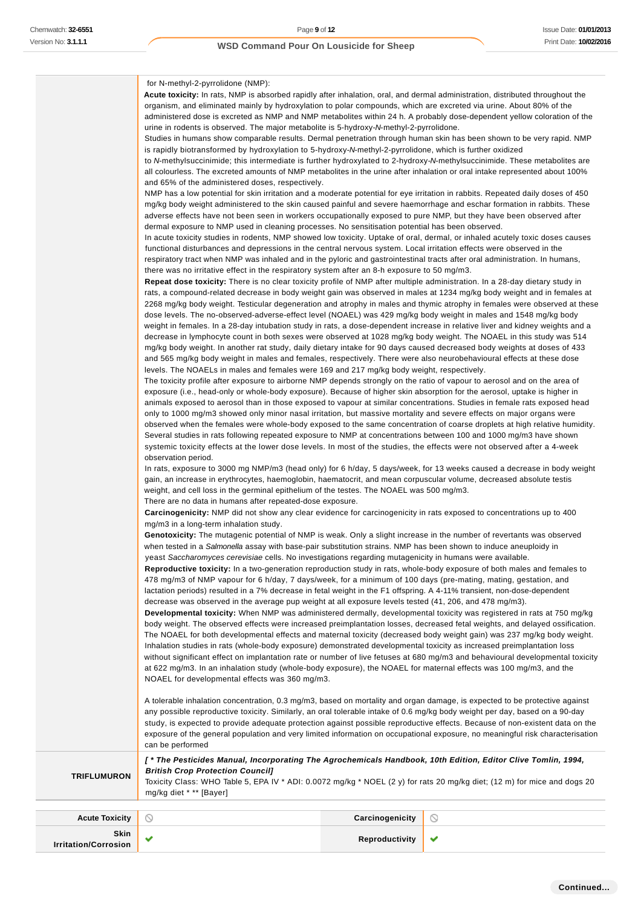T.

## **WSD Command Pour On Lousicide for Sheep**

|                              | for N-methyl-2-pyrrolidone (NMP):                                                                                                                                                                                                                             |                 |                                                                                                                           |
|------------------------------|---------------------------------------------------------------------------------------------------------------------------------------------------------------------------------------------------------------------------------------------------------------|-----------------|---------------------------------------------------------------------------------------------------------------------------|
|                              | <b>Acute toxicity:</b> In rats, NMP is absorbed rapidly after inhalation, oral, and dermal administration, distributed throughout the<br>organism, and eliminated mainly by hydroxylation to polar compounds, which are excreted via urine. About 80% of the  |                 |                                                                                                                           |
|                              | administered dose is excreted as NMP and NMP metabolites within 24 h. A probably dose-dependent yellow coloration of the                                                                                                                                      |                 |                                                                                                                           |
|                              | urine in rodents is observed. The major metabolite is 5-hydroxy-N-methyl-2-pyrrolidone.                                                                                                                                                                       |                 |                                                                                                                           |
|                              | Studies in humans show comparable results. Dermal penetration through human skin has been shown to be very rapid. NMP                                                                                                                                         |                 |                                                                                                                           |
|                              | is rapidly biotransformed by hydroxylation to 5-hydroxy-N-methyl-2-pyrrolidone, which is further oxidized                                                                                                                                                     |                 |                                                                                                                           |
|                              | to N-methylsuccinimide; this intermediate is further hydroxylated to 2-hydroxy-N-methylsuccinimide. These metabolites are<br>all colourless. The excreted amounts of NMP metabolites in the urine after inhalation or oral intake represented about 100%      |                 |                                                                                                                           |
|                              | and 65% of the administered doses, respectively.                                                                                                                                                                                                              |                 |                                                                                                                           |
|                              | NMP has a low potential for skin irritation and a moderate potential for eye irritation in rabbits. Repeated daily doses of 450                                                                                                                               |                 |                                                                                                                           |
|                              | mg/kg body weight administered to the skin caused painful and severe haemorrhage and eschar formation in rabbits. These                                                                                                                                       |                 |                                                                                                                           |
|                              | adverse effects have not been seen in workers occupationally exposed to pure NMP, but they have been observed after                                                                                                                                           |                 |                                                                                                                           |
|                              | dermal exposure to NMP used in cleaning processes. No sensitisation potential has been observed.<br>In acute toxicity studies in rodents, NMP showed low toxicity. Uptake of oral, dermal, or inhaled acutely toxic doses causes                              |                 |                                                                                                                           |
|                              | functional disturbances and depressions in the central nervous system. Local irritation effects were observed in the                                                                                                                                          |                 |                                                                                                                           |
|                              | respiratory tract when NMP was inhaled and in the pyloric and gastrointestinal tracts after oral administration. In humans,                                                                                                                                   |                 |                                                                                                                           |
|                              | there was no irritative effect in the respiratory system after an 8-h exposure to 50 mg/m3.                                                                                                                                                                   |                 |                                                                                                                           |
|                              | Repeat dose toxicity: There is no clear toxicity profile of NMP after multiple administration. In a 28-day dietary study in                                                                                                                                   |                 |                                                                                                                           |
|                              | rats, a compound-related decrease in body weight gain was observed in males at 1234 mg/kg body weight and in females at                                                                                                                                       |                 |                                                                                                                           |
|                              | dose levels. The no-observed-adverse-effect level (NOAEL) was 429 mg/kg body weight in males and 1548 mg/kg body                                                                                                                                              |                 | 2268 mg/kg body weight. Testicular degeneration and atrophy in males and thymic atrophy in females were observed at these |
|                              | weight in females. In a 28-day intubation study in rats, a dose-dependent increase in relative liver and kidney weights and a                                                                                                                                 |                 |                                                                                                                           |
|                              | decrease in lymphocyte count in both sexes were observed at 1028 mg/kg body weight. The NOAEL in this study was 514                                                                                                                                           |                 |                                                                                                                           |
|                              | mg/kg body weight. In another rat study, daily dietary intake for 90 days caused decreased body weights at doses of 433                                                                                                                                       |                 |                                                                                                                           |
|                              | and 565 mg/kg body weight in males and females, respectively. There were also neurobehavioural effects at these dose                                                                                                                                          |                 |                                                                                                                           |
|                              | levels. The NOAELs in males and females were 169 and 217 mg/kg body weight, respectively.                                                                                                                                                                     |                 |                                                                                                                           |
|                              | The toxicity profile after exposure to airborne NMP depends strongly on the ratio of vapour to aerosol and on the area of<br>exposure (i.e., head-only or whole-body exposure). Because of higher skin absorption for the aerosol, uptake is higher in        |                 |                                                                                                                           |
|                              | animals exposed to aerosol than in those exposed to vapour at similar concentrations. Studies in female rats exposed head                                                                                                                                     |                 |                                                                                                                           |
|                              | only to 1000 mg/m3 showed only minor nasal irritation, but massive mortality and severe effects on major organs were                                                                                                                                          |                 |                                                                                                                           |
|                              | observed when the females were whole-body exposed to the same concentration of coarse droplets at high relative humidity.                                                                                                                                     |                 |                                                                                                                           |
|                              | Several studies in rats following repeated exposure to NMP at concentrations between 100 and 1000 mg/m3 have shown                                                                                                                                            |                 |                                                                                                                           |
|                              | systemic toxicity effects at the lower dose levels. In most of the studies, the effects were not observed after a 4-week<br>observation period.                                                                                                               |                 |                                                                                                                           |
|                              | In rats, exposure to 3000 mg NMP/m3 (head only) for 6 h/day, 5 days/week, for 13 weeks caused a decrease in body weight                                                                                                                                       |                 |                                                                                                                           |
|                              | gain, an increase in erythrocytes, haemoglobin, haematocrit, and mean corpuscular volume, decreased absolute testis                                                                                                                                           |                 |                                                                                                                           |
|                              | weight, and cell loss in the germinal epithelium of the testes. The NOAEL was 500 mg/m3.                                                                                                                                                                      |                 |                                                                                                                           |
|                              | There are no data in humans after repeated-dose exposure.                                                                                                                                                                                                     |                 |                                                                                                                           |
|                              | Carcinogenicity: NMP did not show any clear evidence for carcinogenicity in rats exposed to concentrations up to 400<br>mg/m3 in a long-term inhalation study.                                                                                                |                 |                                                                                                                           |
|                              | Genotoxicity: The mutagenic potential of NMP is weak. Only a slight increase in the number of revertants was observed                                                                                                                                         |                 |                                                                                                                           |
|                              | when tested in a Salmonella assay with base-pair substitution strains. NMP has been shown to induce aneuploidy in                                                                                                                                             |                 |                                                                                                                           |
|                              | yeast Saccharomyces cerevisiae cells. No investigations regarding mutagenicity in humans were available.                                                                                                                                                      |                 |                                                                                                                           |
|                              | Reproductive toxicity: In a two-generation reproduction study in rats, whole-body exposure of both males and females to                                                                                                                                       |                 |                                                                                                                           |
|                              | 478 mg/m3 of NMP vapour for 6 h/day, 7 days/week, for a minimum of 100 days (pre-mating, mating, gestation, and                                                                                                                                               |                 |                                                                                                                           |
|                              | lactation periods) resulted in a 7% decrease in fetal weight in the F1 offspring. A 4-11% transient, non-dose-dependent<br>decrease was observed in the average pup weight at all exposure levels tested (41, 206, and 478 mg/m3).                            |                 |                                                                                                                           |
|                              | Developmental toxicity: When NMP was administered dermally, developmental toxicity was registered in rats at 750 mg/kg                                                                                                                                        |                 |                                                                                                                           |
|                              | body weight. The observed effects were increased preimplantation losses, decreased fetal weights, and delayed ossification.                                                                                                                                   |                 |                                                                                                                           |
|                              | The NOAEL for both developmental effects and maternal toxicity (decreased body weight gain) was 237 mg/kg body weight.                                                                                                                                        |                 |                                                                                                                           |
|                              | Inhalation studies in rats (whole-body exposure) demonstrated developmental toxicity as increased preimplantation loss                                                                                                                                        |                 |                                                                                                                           |
|                              | without significant effect on implantation rate or number of live fetuses at 680 mg/m3 and behavioural developmental toxicity<br>at 622 mg/m3. In an inhalation study (whole-body exposure), the NOAEL for maternal effects was 100 mg/m3, and the            |                 |                                                                                                                           |
|                              | NOAEL for developmental effects was 360 mg/m3.                                                                                                                                                                                                                |                 |                                                                                                                           |
|                              |                                                                                                                                                                                                                                                               |                 |                                                                                                                           |
|                              | A tolerable inhalation concentration, 0.3 mg/m3, based on mortality and organ damage, is expected to be protective against                                                                                                                                    |                 |                                                                                                                           |
|                              | any possible reproductive toxicity. Similarly, an oral tolerable intake of 0.6 mg/kg body weight per day, based on a 90-day                                                                                                                                   |                 |                                                                                                                           |
|                              | study, is expected to provide adequate protection against possible reproductive effects. Because of non-existent data on the<br>exposure of the general population and very limited information on occupational exposure, no meaningful risk characterisation |                 |                                                                                                                           |
|                              | can be performed                                                                                                                                                                                                                                              |                 |                                                                                                                           |
|                              | [* The Pesticides Manual, Incorporating The Agrochemicals Handbook, 10th Edition, Editor Clive Tomlin, 1994,                                                                                                                                                  |                 |                                                                                                                           |
| <b>TRIFLUMURON</b>           | <b>British Crop Protection Council]</b>                                                                                                                                                                                                                       |                 |                                                                                                                           |
|                              | Toxicity Class: WHO Table 5, EPA IV * ADI: 0.0072 mg/kg * NOEL (2 y) for rats 20 mg/kg diet; (12 m) for mice and dogs 20                                                                                                                                      |                 |                                                                                                                           |
|                              | mg/kg diet * ** [Bayer]                                                                                                                                                                                                                                       |                 |                                                                                                                           |
|                              |                                                                                                                                                                                                                                                               | Carcinogenicity |                                                                                                                           |
| <b>Acute Toxicity</b>        | O                                                                                                                                                                                                                                                             |                 | O                                                                                                                         |
| Skin<br>Irritation/Corrosion | ✔                                                                                                                                                                                                                                                             | Reproductivity  | ✔                                                                                                                         |
|                              |                                                                                                                                                                                                                                                               |                 |                                                                                                                           |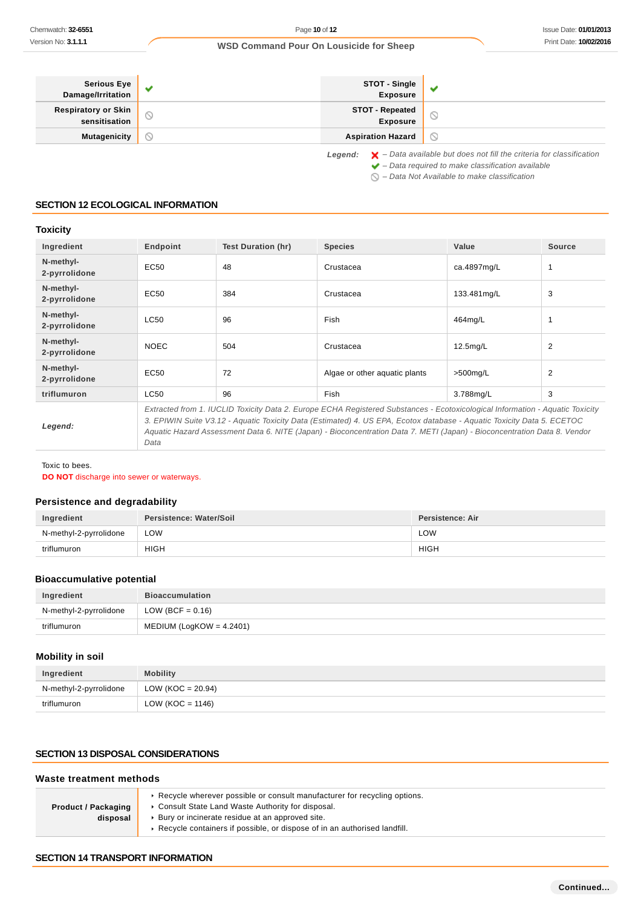| Serious Eye<br>Damage/Irritation     | v                   | <b>STOT - Single<br/>Exposure</b> |                                                                                                                                                                    |
|--------------------------------------|---------------------|-----------------------------------|--------------------------------------------------------------------------------------------------------------------------------------------------------------------|
| Respiratory or Skin<br>sensitisation | $\circlearrowright$ | STOT - Repeated<br>Exposure       |                                                                                                                                                                    |
| <b>Mutagenicity</b>                  | N                   | <b>Aspiration Hazard</b>          | $\circ$                                                                                                                                                            |
|                                      |                     | Legend:                           | $\blacktriangleright$ - Data available but does not fill the criteria for classification<br>$\blacktriangleright$ - Data required to make classification available |

 $\bigcirc$  – Data Not Available to make classification

## **SECTION 12 ECOLOGICAL INFORMATION**

## **Toxicity**

| Ingredient                 | Endpoint                                                                                                                                                                                                                                                                                                                                                                            | Test Duration (hr) | <b>Species</b>                | Value       | <b>Source</b> |
|----------------------------|-------------------------------------------------------------------------------------------------------------------------------------------------------------------------------------------------------------------------------------------------------------------------------------------------------------------------------------------------------------------------------------|--------------------|-------------------------------|-------------|---------------|
| N-methyl-<br>2-pyrrolidone | EC50                                                                                                                                                                                                                                                                                                                                                                                | 48                 | Crustacea                     | ca.4897mg/L | 1             |
| N-methyl-<br>2-pyrrolidone | EC50                                                                                                                                                                                                                                                                                                                                                                                | 384                | Crustacea                     | 133.481mg/L | 3             |
| N-methyl-<br>2-pyrrolidone | LC50                                                                                                                                                                                                                                                                                                                                                                                | 96                 | Fish                          | 464mg/L     |               |
| N-methyl-<br>2-pyrrolidone | <b>NOEC</b>                                                                                                                                                                                                                                                                                                                                                                         | 504                | Crustacea                     | $12.5$ mg/L | 2             |
| N-methyl-<br>2-pyrrolidone | EC50                                                                                                                                                                                                                                                                                                                                                                                | 72                 | Algae or other aguatic plants | $>500$ mg/L | 2             |
| triflumuron                | LC50                                                                                                                                                                                                                                                                                                                                                                                | 96                 | Fish                          | 3.788mg/L   | 3             |
| Legend:                    | Extracted from 1. IUCLID Toxicity Data 2. Europe ECHA Registered Substances - Ecotoxicological Information - Aquatic Toxicity<br>3. EPIWIN Suite V3.12 - Aquatic Toxicity Data (Estimated) 4. US EPA, Ecotox database - Aquatic Toxicity Data 5. ECETOC<br>Aquatic Hazard Assessment Data 6. NITE (Japan) - Bioconcentration Data 7. METI (Japan) - Bioconcentration Data 8. Vendor |                    |                               |             |               |

Toxic to bees.

**DO NOT** discharge into sewer or waterways.

Data

## **Persistence and degradability**

| Ingredient             | Persistence: Water/Soil | Persistence: Air |
|------------------------|-------------------------|------------------|
| N-methyl-2-pyrrolidone | LOW                     | LOW              |
| triflumuron            | <b>HIGH</b>             | <b>HIGH</b>      |

## **Bioaccumulative potential**

| Ingredient             | <b>Bioaccumulation</b>      |
|------------------------|-----------------------------|
| N-methyl-2-pyrrolidone | LOW (BCF = $0.16$ )         |
| triflumuron            | MEDIUM (LogKOW = $4.2401$ ) |

### **Mobility in soil**

| Ingredient             | <b>Mobility</b>      |
|------------------------|----------------------|
| N-methyl-2-pyrrolidone | LOW (KOC = $20.94$ ) |
| triflumuron            | LOW ( $KOC = 1146$ ) |

## **SECTION 13 DISPOSAL CONSIDERATIONS**

#### **Waste treatment methods Product / Packaging disposal** Recycle wherever possible or consult manufacturer for recycling options. Consult State Land Waste Authority for disposal. Bury or incinerate residue at an approved site. Recycle containers if possible, or dispose of in an authorised landfill.

## **SECTION 14 TRANSPORT INFORMATION**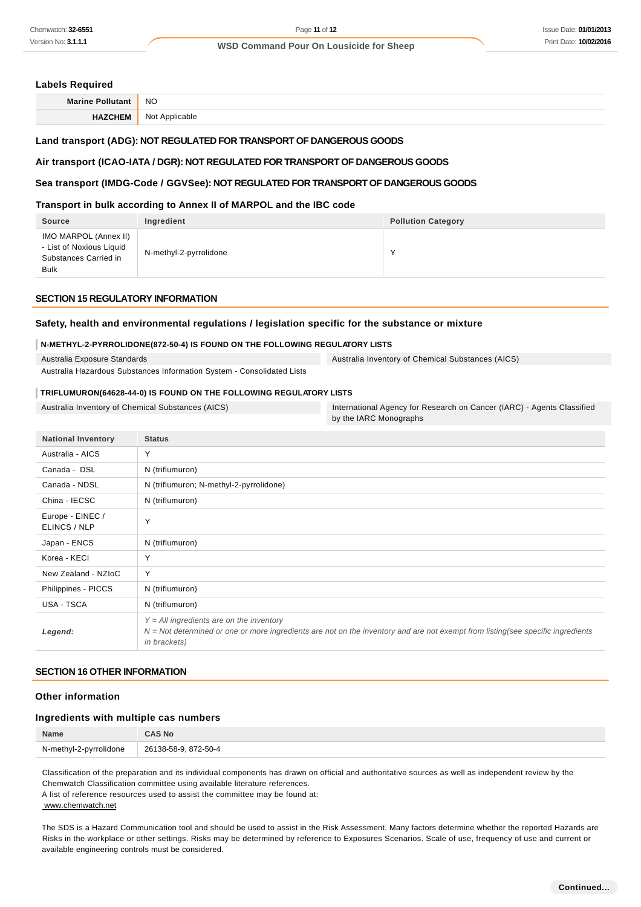### Issue Date: **01/01/2013** Print Date: **10/02/2016**

### **WSD Command Pour On Lousicide for Sheep**

### **Labels Required**

| <b>Marine</b> | <b>NO</b>        |
|---------------|------------------|
| ''            | NI∩t<br>blicable |

### **Land transport (ADG): NOT REGULATED FOR TRANSPORT OF DANGEROUS GOODS**

### **Air transport (ICAO-IATA / DGR): NOT REGULATED FOR TRANSPORT OF DANGEROUS GOODS**

### **Sea transport (IMDG-Code / GGVSee): NOT REGULATED FOR TRANSPORT OF DANGEROUS GOODS**

### **Transport in bulk according to Annex II of MARPOL and the IBC code**

| <b>Source</b>                                                                             | Ingredient             | <b>Pollution Category</b> |
|-------------------------------------------------------------------------------------------|------------------------|---------------------------|
| IMO MARPOL (Annex II)<br>- List of Noxious Liquid<br>Substances Carried in<br><b>Bulk</b> | N-methyl-2-pyrrolidone | $\checkmark$              |

### **SECTION 15 REGULATORY INFORMATION**

## **Safety, health and environmental regulations / legislation specific for the substance or mixture**

### **N-METHYL-2-PYRROLIDONE(872-50-4) IS FOUND ON THE FOLLOWING REGULATORY LISTS**

Australia Exposure Standards Australia Hazardous Substances Information System - Consolidated Lists

**TRIFLUMURON(64628-44-0) IS FOUND ON THE FOLLOWING REGULATORY LISTS**

Australia Inventory of Chemical Substances (AICS) International Agency for Research on Cancer (IARC) - Agents Classified by the IARC Monographs

Australia Inventory of Chemical Substances (AICS)

| <b>National Inventory</b>        | <b>Status</b>                                                                                                                                                                                   |
|----------------------------------|-------------------------------------------------------------------------------------------------------------------------------------------------------------------------------------------------|
| Australia - AICS                 | Y                                                                                                                                                                                               |
| Canada - DSL                     | N (triflumuron)                                                                                                                                                                                 |
| Canada - NDSL                    | N (triflumuron; N-methyl-2-pyrrolidone)                                                                                                                                                         |
| China - IECSC                    | N (triflumuron)                                                                                                                                                                                 |
| Europe - EINEC /<br>ELINCS / NLP | Y                                                                                                                                                                                               |
| Japan - ENCS                     | N (triflumuron)                                                                                                                                                                                 |
| Korea - KECI                     | Y                                                                                                                                                                                               |
| New Zealand - NZIoC              | Y                                                                                                                                                                                               |
| Philippines - PICCS              | N (triflumuron)                                                                                                                                                                                 |
| USA - TSCA                       | N (triflumuron)                                                                                                                                                                                 |
| Legend:                          | $Y = All$ ingredients are on the inventory<br>$N = Not$ determined or one or more ingredients are not on the inventory and are not exempt from listing(see specific ingredients<br>in brackets) |

### **SECTION 16 OTHER INFORMATION**

### **Other information**

### **Ingredients with multiple cas numbers**

| Name                   | <b>AS No:</b>        |
|------------------------|----------------------|
| N-methyl-2-pyrrolidone | 26138-58-9, 872-50-4 |
|                        |                      |

Classification of the preparation and its individual components has drawn on official and authoritative sources as well as independent review by the Chemwatch Classification committee using available literature references.

A list of reference resources used to assist the committee may be found at: www.chemwatch.net

The SDS is a Hazard Communication tool and should be used to assist in the Risk Assessment. Many factors determine whether the reported Hazards are Risks in the workplace or other settings. Risks may be determined by reference to Exposures Scenarios. Scale of use, frequency of use and current or available engineering controls must be considered.